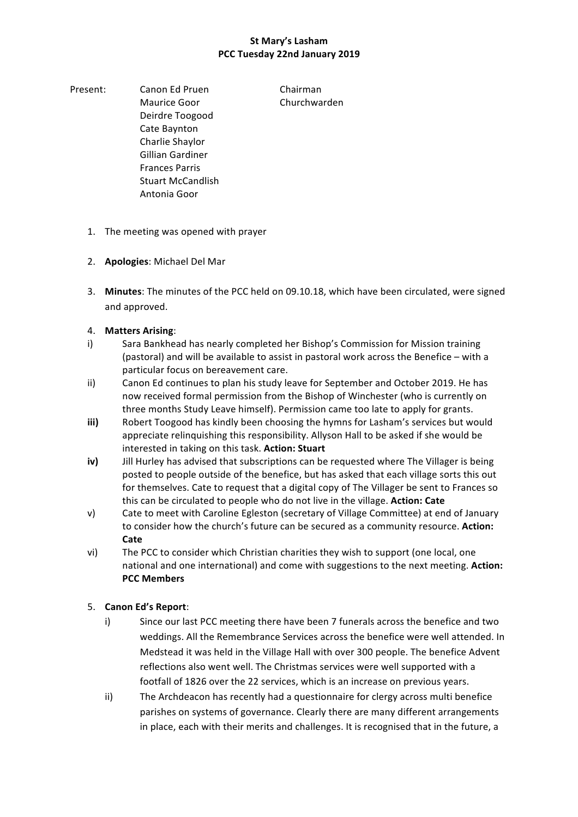Present: Canon Ed Pruen Chairman Maurice Goor **Churchwarden** Deirdre Toogood Cate Baynton Charlie Shaylor Gillian Gardiner Frances Parris Stuart McCandlish Antonia Goor

- 1. The meeting was opened with prayer
- 2. **Apologies:** Michael Del Mar
- 3. Minutes: The minutes of the PCC held on 09.10.18, which have been circulated, were signed and approved.
- 4. **Matters Arising**:
- i) Sara Bankhead has nearly completed her Bishop's Commission for Mission training (pastoral) and will be available to assist in pastoral work across the Benefice – with a particular focus on bereavement care.
- ii) Canon Ed continues to plan his study leave for September and October 2019. He has now received formal permission from the Bishop of Winchester (who is currently on three months Study Leave himself). Permission came too late to apply for grants.
- **iii)** Robert Toogood has kindly been choosing the hymns for Lasham's services but would appreciate relinquishing this responsibility. Allyson Hall to be asked if she would be interested in taking on this task. Action: Stuart
- iv) Jill Hurley has advised that subscriptions can be requested where The Villager is being posted to people outside of the benefice, but has asked that each village sorts this out for themselves. Cate to request that a digital copy of The Villager be sent to Frances so this can be circulated to people who do not live in the village. **Action: Cate**
- v) Cate to meet with Caroline Egleston (secretary of Village Committee) at end of January to consider how the church's future can be secured as a community resource. Action: **Cate**
- vi) The PCC to consider which Christian charities they wish to support (one local, one national and one international) and come with suggestions to the next meeting. Action: **PCC Members**

# 5. **Canon Ed's Report**:

- i) Since our last PCC meeting there have been 7 funerals across the benefice and two weddings. All the Remembrance Services across the benefice were well attended. In Medstead it was held in the Village Hall with over 300 people. The benefice Advent reflections also went well. The Christmas services were well supported with a footfall of 1826 over the 22 services, which is an increase on previous years.
- ii) The Archdeacon has recently had a questionnaire for clergy across multi benefice parishes on systems of governance. Clearly there are many different arrangements in place, each with their merits and challenges. It is recognised that in the future, a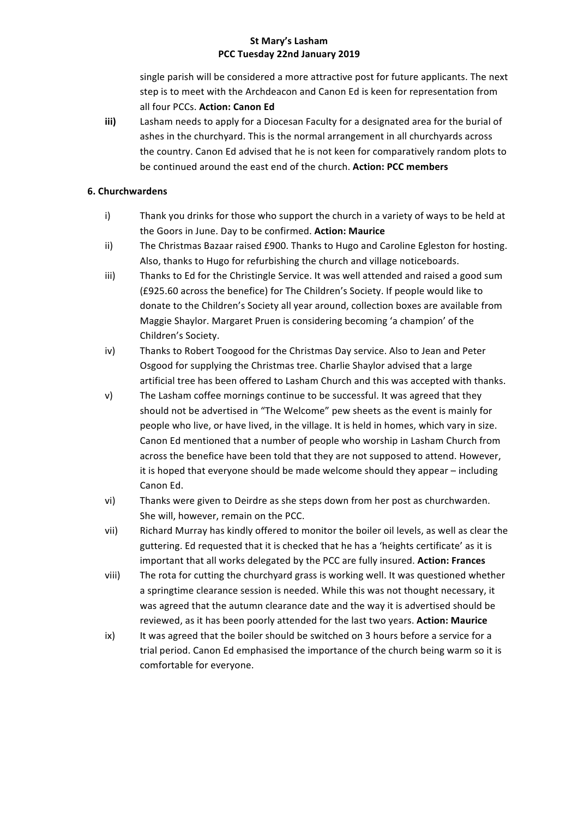single parish will be considered a more attractive post for future applicants. The next step is to meet with the Archdeacon and Canon Ed is keen for representation from all four PCCs. Action: Canon Ed

**iii)** Lasham needs to apply for a Diocesan Faculty for a designated area for the burial of ashes in the churchyard. This is the normal arrangement in all churchyards across the country. Canon Ed advised that he is not keen for comparatively random plots to be continued around the east end of the church. **Action: PCC members** 

### **6. Churchwardens**

- i) Thank you drinks for those who support the church in a variety of ways to be held at the Goors in June. Day to be confirmed. **Action: Maurice**
- ii) The Christmas Bazaar raised £900. Thanks to Hugo and Caroline Egleston for hosting. Also, thanks to Hugo for refurbishing the church and village noticeboards.
- iii) Thanks to Ed for the Christingle Service. It was well attended and raised a good sum (£925.60 across the benefice) for The Children's Society. If people would like to donate to the Children's Society all year around, collection boxes are available from Maggie Shaylor. Margaret Pruen is considering becoming 'a champion' of the Children's Society.
- iv) Thanks to Robert Toogood for the Christmas Day service. Also to Jean and Peter Osgood for supplying the Christmas tree. Charlie Shaylor advised that a large artificial tree has been offered to Lasham Church and this was accepted with thanks.
- v) The Lasham coffee mornings continue to be successful. It was agreed that they should not be advertised in "The Welcome" pew sheets as the event is mainly for people who live, or have lived, in the village. It is held in homes, which vary in size. Canon Ed mentioned that a number of people who worship in Lasham Church from across the benefice have been told that they are not supposed to attend. However, it is hoped that everyone should be made welcome should they appear - including Canon Ed.
- vi) Thanks were given to Deirdre as she steps down from her post as churchwarden. She will, however, remain on the PCC.
- vii) Richard Murray has kindly offered to monitor the boiler oil levels, as well as clear the guttering. Ed requested that it is checked that he has a 'heights certificate' as it is important that all works delegated by the PCC are fully insured. Action: Frances
- viii) The rota for cutting the churchyard grass is working well. It was questioned whether a springtime clearance session is needed. While this was not thought necessary, it was agreed that the autumn clearance date and the way it is advertised should be reviewed, as it has been poorly attended for the last two years. Action: Maurice
- ix) It was agreed that the boiler should be switched on 3 hours before a service for a trial period. Canon Ed emphasised the importance of the church being warm so it is comfortable for everyone.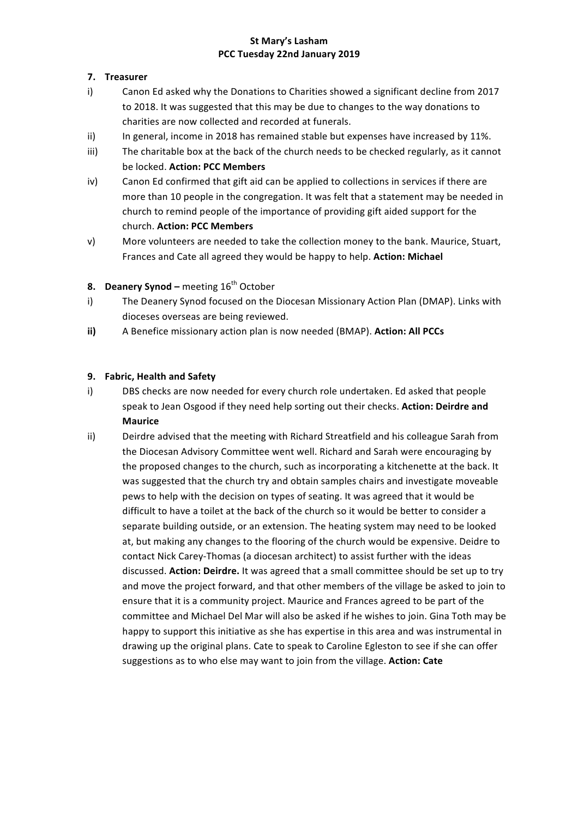## **7. Treasurer**

- i) Canon Ed asked why the Donations to Charities showed a significant decline from 2017 to 2018. It was suggested that this may be due to changes to the way donations to charities are now collected and recorded at funerals.
- ii) In general, income in 2018 has remained stable but expenses have increased by 11%.
- iii) The charitable box at the back of the church needs to be checked regularly, as it cannot be locked. **Action: PCC Members**
- iv) Canon Ed confirmed that gift aid can be applied to collections in services if there are more than 10 people in the congregation. It was felt that a statement may be needed in church to remind people of the importance of providing gift aided support for the church. **Action: PCC Members**
- v) More volunteers are needed to take the collection money to the bank. Maurice, Stuart, Frances and Cate all agreed they would be happy to help. Action: Michael

# **8. Deanery Synod** – meeting 16<sup>th</sup> October

- i) The Deanery Synod focused on the Diocesan Missionary Action Plan (DMAP). Links with dioceses overseas are being reviewed.
- **ii)** A Benefice missionary action plan is now needed (BMAP). **Action: All PCCs**

#### **9.** Fabric, Health and Safety

- i) DBS checks are now needed for every church role undertaken. Ed asked that people speak to Jean Osgood if they need help sorting out their checks. Action: Deirdre and **Maurice**
- ii) Deirdre advised that the meeting with Richard Streatfield and his colleague Sarah from the Diocesan Advisory Committee went well. Richard and Sarah were encouraging by the proposed changes to the church, such as incorporating a kitchenette at the back. It was suggested that the church try and obtain samples chairs and investigate moveable pews to help with the decision on types of seating. It was agreed that it would be difficult to have a toilet at the back of the church so it would be better to consider a separate building outside, or an extension. The heating system may need to be looked at, but making any changes to the flooring of the church would be expensive. Deidre to contact Nick Carey-Thomas (a diocesan architect) to assist further with the ideas discussed. Action: Deirdre. It was agreed that a small committee should be set up to try and move the project forward, and that other members of the village be asked to join to ensure that it is a community project. Maurice and Frances agreed to be part of the committee and Michael Del Mar will also be asked if he wishes to join. Gina Toth may be happy to support this initiative as she has expertise in this area and was instrumental in drawing up the original plans. Cate to speak to Caroline Egleston to see if she can offer suggestions as to who else may want to join from the village. Action: Cate